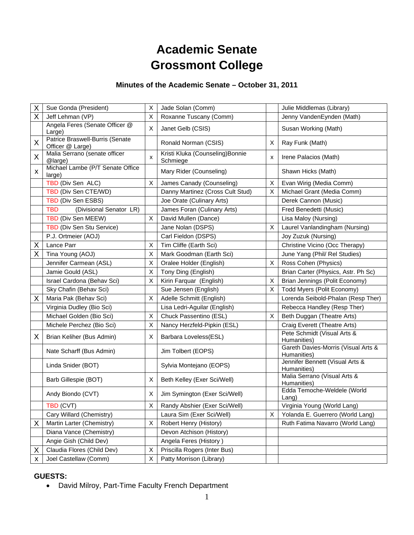# **Academic Senate Grossmont College**

## **Minutes of the Academic Senate – October 31, 2011**

| X | Sue Gonda (President)                               | X | Jade Solan (Comm)                            |   | Julie Middlemas (Library)                          |
|---|-----------------------------------------------------|---|----------------------------------------------|---|----------------------------------------------------|
| X | Jeff Lehman (VP)                                    | X | Roxanne Tuscany (Comm)                       |   | Jenny VandenEynden (Math)                          |
|   | Angela Feres (Senate Officer @<br>Large)            | X | Janet Gelb (CSIS)                            |   | Susan Working (Math)                               |
| X | Patrice Braswell-Burris (Senate<br>Officer @ Large) |   | Ronald Norman (CSIS)                         | X | Ray Funk (Math)                                    |
| X | Malia Serrano (senate officer<br>@large)            | X | Kristi Kluka (Counseling) Bonnie<br>Schmiege | x | Irene Palacios (Math)                              |
| X | Michael Lambe (P/T Senate Office<br>large)          |   | Mary Rider (Counseling)                      |   | Shawn Hicks (Math)                                 |
|   | TBD (Div Sen ALC)                                   | X | James Canady (Counseling)                    | X | Evan Wirig (Media Comm)                            |
|   | TBD (Div Sen CTE/WD)                                |   | Danny Martinez (Cross Cult Stud)             | X | Michael Grant (Media Comm)                         |
|   | TBD (Div Sen ESBS)                                  |   | Joe Orate (Culinary Arts)                    |   | Derek Cannon (Music)                               |
|   | <b>TBD</b><br>(Divisional Senator LR)               |   | James Foran (Culinary Arts)                  |   | Fred Benedetti (Music)                             |
|   | TBD (Div Sen MEEW)                                  | X | David Mullen (Dance)                         |   | Lisa Maloy (Nursing)                               |
|   | TBD (Div Sen Stu Service)                           |   | Jane Nolan (DSPS)                            | X | Laurel Vanlandingham (Nursing)                     |
|   | P.J. Ortmeier (AOJ)                                 |   | Carl Fieldon (DSPS)                          |   | Joy Zuzuk (Nursing)                                |
| Χ | Lance Parr                                          | X | Tim Cliffe (Earth Sci)                       |   | Christine Vicino (Occ Therapy)                     |
| X | Tina Young (AOJ)                                    | X | Mark Goodman (Earth Sci)                     |   | June Yang (Phil/ Rel Studies)                      |
|   | Jennifer Carmean (ASL)                              | X | Oralee Holder (English)                      | X | Ross Cohen (Physics)                               |
|   | Jamie Gould (ASL)                                   | X | Tony Ding (English)                          |   | Brian Carter (Physics, Astr. Ph Sc)                |
|   | Israel Cardona (Behav Sci)                          | X | Kirin Farquar (English)                      | X | Brian Jennings (Polit Economy)                     |
|   | Sky Chafin (Behav Sci)                              |   | Sue Jensen (English)                         | X | Todd Myers (Polit Economy)                         |
| X | Maria Pak (Behav Sci)                               | X | Adelle Schmitt (English)                     |   | Lorenda Seibold-Phalan (Resp Ther)                 |
|   | Virginia Dudley (Bio Sci)                           |   | Lisa Ledri-Aguilar (English)                 |   | Rebecca Handley (Resp Ther)                        |
|   | Michael Golden (Bio Sci)                            | X | Chuck Passentino (ESL)                       | X | Beth Duggan (Theatre Arts)                         |
|   | Michele Perchez (Bio Sci)                           | X | Nancy Herzfeld-Pipkin (ESL)                  |   | Craig Everett (Theatre Arts)                       |
| X | Brian Keliher (Bus Admin)                           | X | Barbara Loveless(ESL)                        |   | Pete Schmidt (Visual Arts &<br>Humanities)         |
|   | Nate Scharff (Bus Admin)                            |   | Jim Tolbert (EOPS)                           |   | Gareth Davies-Morris (Visual Arts &<br>Humanities) |
|   | Linda Snider (BOT)                                  |   | Sylvia Montejano (EOPS)                      |   | Jennifer Bennett (Visual Arts &<br>Humanities)     |
|   | Barb Gillespie (BOT)                                | X | Beth Kelley (Exer Sci/Well)                  |   | Malia Serrano (Visual Arts &<br>Humanities)        |
|   | Andy Biondo (CVT)                                   | X | Jim Symington (Exer Sci/Well)                |   | Edda Temoche-Weldele (World<br>Lang)               |
|   | TBD (CVT)                                           | X | Randy Abshier (Exer Sci/Well)                |   | Virginia Young (World Lang)                        |
|   | Cary Willard (Chemistry)                            |   | Laura Sim (Exer Sci/Well)                    | Χ | Yolanda E. Guerrero (World Lang)                   |
| X | Martin Larter (Chemistry)                           | X | Robert Henry (History)                       |   | Ruth Fatima Navarro (World Lang)                   |
|   | Diana Vance (Chemistry)                             |   | Devon Atchison (History)                     |   |                                                    |
|   | Angie Gish (Child Dev)                              |   | Angela Feres (History)                       |   |                                                    |
| X | Claudia Flores (Child Dev)                          | X | Priscilla Rogers (Inter Bus)                 |   |                                                    |
| х | Joel Castellaw (Comm)                               | х | Patty Morrison (Library)                     |   |                                                    |

## **GUESTS:**

David Milroy, Part-Time Faculty French Department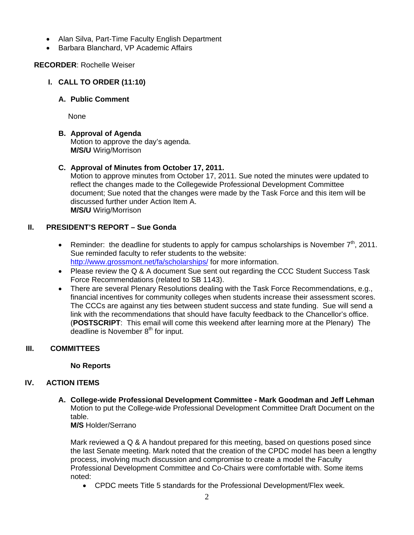- Alan Silva, Part-Time Faculty English Department
- Barbara Blanchard, VP Academic Affairs

#### **RECORDER**: Rochelle Weiser

- **I. CALL TO ORDER (11:10)** 
	- **A. Public Comment**

None

## **B. Approval of Agenda**

Motion to approve the day's agenda. **M/S/U** Wirig/Morrison

## **C. Approval of Minutes from October 17, 2011.**

Motion to approve minutes from October 17, 2011. Sue noted the minutes were updated to reflect the changes made to the Collegewide Professional Development Committee document; Sue noted that the changes were made by the Task Force and this item will be discussed further under Action Item A. **M/S/U** Wirig/Morrison

## **II. PRESIDENT'S REPORT – Sue Gonda**

- **•** Reminder: the deadline for students to apply for campus scholarships is November  $7<sup>th</sup>$ , 2011. Sue reminded faculty to refer students to the website: http://www.grossmont.net/fa/scholarships/ for more information.
- Please review the Q & A document Sue sent out regarding the CCC Student Success Task Force Recommendations (related to SB 1143).
- There are several Plenary Resolutions dealing with the Task Force Recommendations, e.g., financial incentives for community colleges when students increase their assessment scores. The CCCs are against any ties between student success and state funding. Sue will send a link with the recommendations that should have faculty feedback to the Chancellor's office. (**POSTSCRIPT**: This email will come this weekend after learning more at the Plenary) The  $\alpha$  deadline is November  $8<sup>th</sup>$  for input.

## **III. COMMITTEES**

#### **No Reports**

## **IV. ACTION ITEMS**

**A. College-wide Professional Development Committee - Mark Goodman and Jeff Lehman** Motion to put the College-wide Professional Development Committee Draft Document on the table.

**M/S** Holder/Serrano

Mark reviewed a Q & A handout prepared for this meeting, based on questions posed since the last Senate meeting. Mark noted that the creation of the CPDC model has been a lengthy process, involving much discussion and compromise to create a model the Faculty Professional Development Committee and Co-Chairs were comfortable with. Some items noted:

CPDC meets Title 5 standards for the Professional Development/Flex week.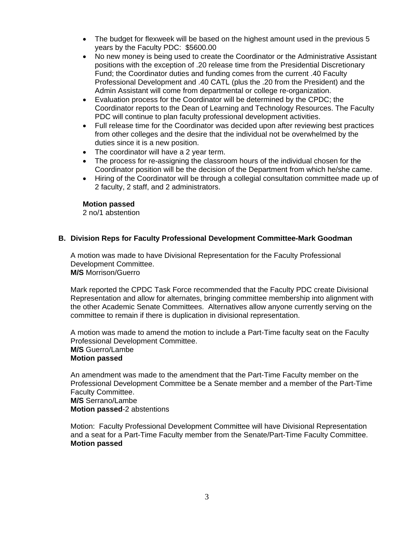- The budget for flexweek will be based on the highest amount used in the previous 5 years by the Faculty PDC: \$5600.00
- No new money is being used to create the Coordinator or the Administrative Assistant positions with the exception of .20 release time from the Presidential Discretionary Fund; the Coordinator duties and funding comes from the current .40 Faculty Professional Development and .40 CATL (plus the .20 from the President) and the Admin Assistant will come from departmental or college re-organization.
- Evaluation process for the Coordinator will be determined by the CPDC; the Coordinator reports to the Dean of Learning and Technology Resources. The Faculty PDC will continue to plan faculty professional development activities.
- Full release time for the Coordinator was decided upon after reviewing best practices from other colleges and the desire that the individual not be overwhelmed by the duties since it is a new position.
- The coordinator will have a 2 year term.
- The process for re-assigning the classroom hours of the individual chosen for the Coordinator position will be the decision of the Department from which he/she came.
- Hiring of the Coordinator will be through a collegial consultation committee made up of 2 faculty, 2 staff, and 2 administrators.

#### **Motion passed**

2 no/1 abstention

#### **B. Division Reps for Faculty Professional Development Committee-Mark Goodman**

A motion was made to have Divisional Representation for the Faculty Professional Development Committee. **M/S** Morrison/Guerro

Mark reported the CPDC Task Force recommended that the Faculty PDC create Divisional Representation and allow for alternates, bringing committee membership into alignment with the other Academic Senate Committees. Alternatives allow anyone currently serving on the committee to remain if there is duplication in divisional representation.

A motion was made to amend the motion to include a Part-Time faculty seat on the Faculty Professional Development Committee. **M/S** Guerro/Lambe **Motion passed** 

An amendment was made to the amendment that the Part-Time Faculty member on the Professional Development Committee be a Senate member and a member of the Part-Time Faculty Committee.

**M/S** Serrano/Lambe

**Motion passed**-2 abstentions

Motion: Faculty Professional Development Committee will have Divisional Representation and a seat for a Part-Time Faculty member from the Senate/Part-Time Faculty Committee. **Motion passed**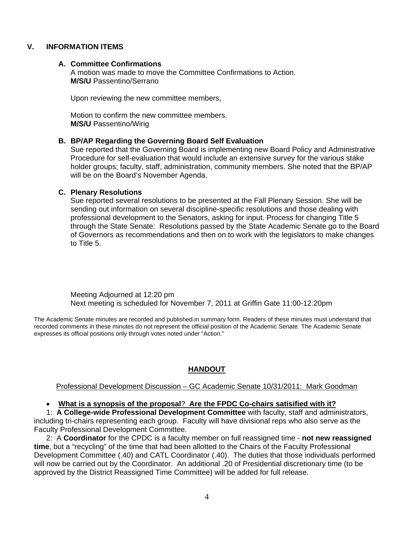#### **V. INFORMATION ITEMS**

#### **A. Committee Confirmations**

A motion was made to move the Committee Confirmations to Action. **M/S/U** Passentino/Serrano

Upon reviewing the new committee members,

Motion to confirm the new committee members. **M/S/U** Passentino/Wirig

#### **B. BP/AP Regarding the Governing Board Self Evaluation**

Sue reported that the Governing Board is implementing new Board Policy and Administrative Procedure for self-evaluation that would include an extensive survey for the various stake holder groups; faculty, staff, administration, community members. She noted that the BP/AP will be on the Board's November Agenda.

#### **C. Plenary Resolutions**

Sue reported several resolutions to be presented at the Fall Plenary Session. She will be sending out information on several discipline-specific resolutions and those dealing with professional development to the Senators, asking for input. Process for changing Title 5 through the State Senate: Resolutions passed by the State Academic Senate go to the Board of Governors as recommendations and then on to work with the legislators to make changes to Title 5.

Meeting Adjourned at 12:20 pm Next meeting is scheduled for November 7, 2011 at Griffin Gate 11:00-12:20pm

The Academic Senate minutes are recorded and published in summary form. Readers of these minutes must understand that recorded comments in these minutes do not represent the official position of the Academic Senate. The Academic Senate expresses its official positions only through votes noted under "Action."

## **HANDOUT**

#### Professional Development Discussion – GC Academic Senate 10/31/2011: Mark Goodman

#### **What is a synopsis of the proposal**? **Are the FPDC Co-chairs satisified with it?**

1: **A College-wide Professional Development Committee** with faculty, staff and administrators, including tri-chairs representing each group. Faculty will have divisional reps who also serve as the Faculty Professional Development Committee.

2: A **Coordinator** for the CPDC is a faculty member on full reassigned time - **not new reassigned time**, but a "recycling" of the time that had been allotted to the Chairs of the Faculty Professional Development Committee (.40) and CATL Coordinator (.40). The duties that those individuals performed will now be carried out by the Coordinator. An additional .20 of Presidential discretionary time (to be approved by the District Reassigned Time Committee) will be added for full release.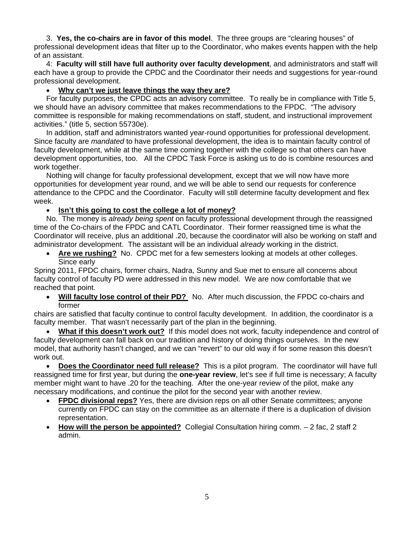3. **Yes, the co-chairs are in favor of this model**. The three groups are "clearing houses" of professional development ideas that filter up to the Coordinator, who makes events happen with the help of an assistant.

4: **Faculty will still have full authority over faculty development**, and administrators and staff will each have a group to provide the CPDC and the Coordinator their needs and suggestions for year-round professional development.

### **Why can't we just leave things the way they are?**

For faculty purposes, the CPDC acts an advisory committee. To really be in compliance with Title 5, we should have an advisory committee that makes recommendations to the FPDC. "The advisory committee is responsible for making recommendations on staff, student, and instructional improvement activities." (title 5, section 55730e).

In addition, staff and administrators wanted year-round opportunities for professional development. Since faculty are *mandated* to have professional development, the idea is to maintain faculty control of faculty development, while at the same time coming together with the college so that others can have development opportunities, too. All the CPDC Task Force is asking us to do is combine resources and work together.

Nothing will change for faculty professional development, except that we will now have more opportunities for development year round, and we will be able to send our requests for conference attendance to the CPDC and the Coordinator. Faculty will still determine faculty development and flex week.

## **•** Isn't this going to cost the college a lot of money?

No. The money is *already being spent* on faculty professional development through the reassigned time of the Co-chairs of the FPDC and CATL Coordinator. Their former reassigned time is what the Coordinator will receive, plus an additional .20, because the coordinator will also be working on staff and administrator development. The assistant will be an individual *already* working in the district.

 **Are we rushing?** No. CPDC met for a few semesters looking at models at other colleges. Since early

Spring 2011, FPDC chairs, former chairs, Nadra, Sunny and Sue met to ensure all concerns about faculty control of faculty PD were addressed in this new model. We are now comfortable that we reached that point.

 **Will faculty lose control of their PD?** No. After much discussion, the FPDC co-chairs and former

chairs are satisfied that faculty continue to control faculty development. In addition, the coordinator is a faculty member. That wasn't necessarily part of the plan in the beginning.

 **What if this doesn't work out?** If this model does not work, faculty independence and control of faculty development can fall back on our tradition and history of doing things ourselves. In the new model, that authority hasn't changed, and we can "revert" to our old way if for some reason this doesn't work out.

 **Does the Coordinator need full release?** This is a pilot program. The coordinator will have full reassigned time for first year, but during the **one-year review**, let's see if full time is necessary; A faculty member might want to have .20 for the teaching. After the one-year review of the pilot, make any necessary modifications, and continue the pilot for the second year with another review.

- **FPDC divisional reps?** Yes, there are division reps on all other Senate committees; anyone currently on FPDC can stay on the committee as an alternate if there is a duplication of division representation.
- **How will the person be appointed?** Collegial Consultation hiring comm. 2 fac, 2 staff 2 admin.